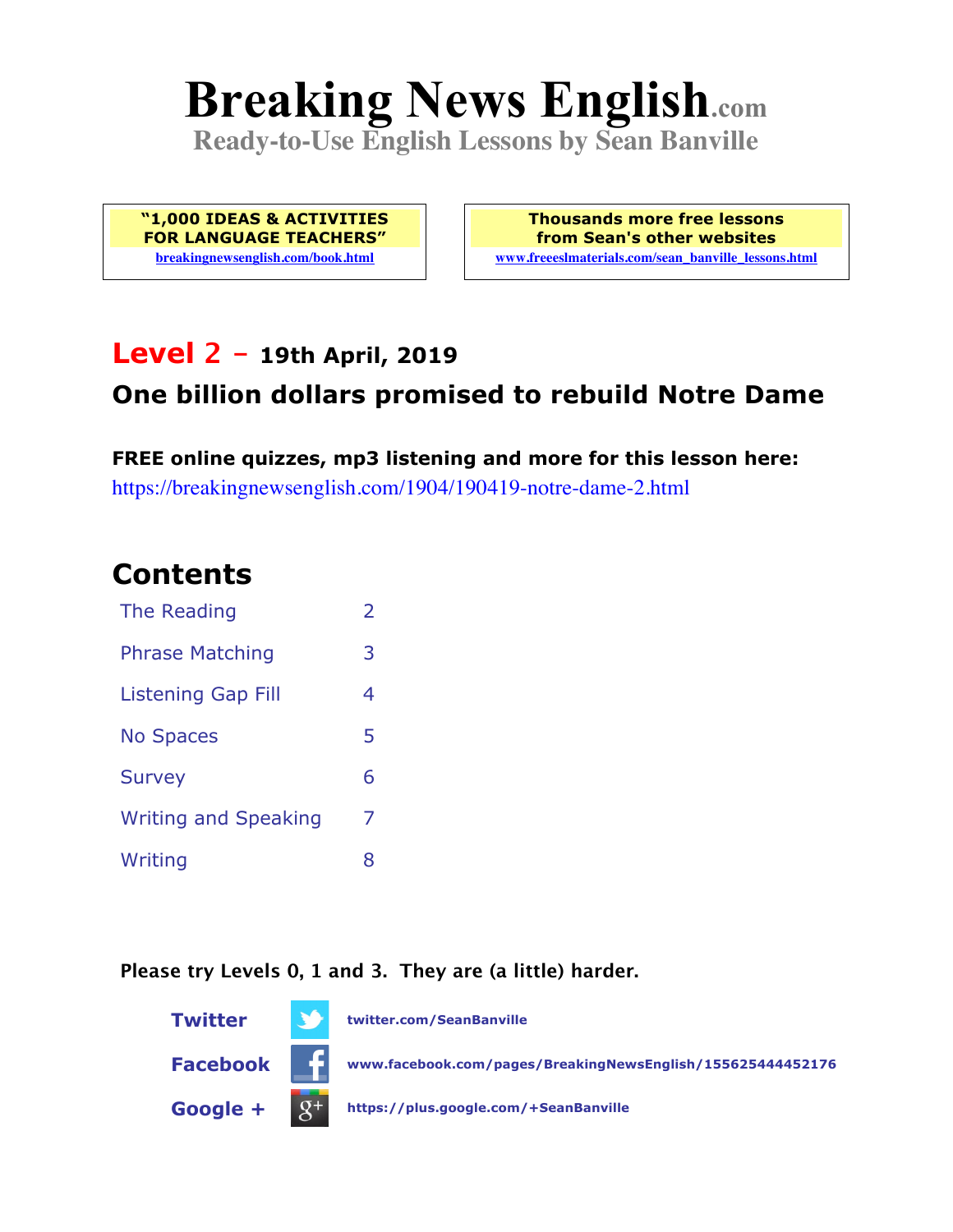# **Breaking News English.com**

**Ready-to-Use English Lessons by Sean Banville**

**"1,000 IDEAS & ACTIVITIES FOR LANGUAGE TEACHERS" breakingnewsenglish.com/book.html**

**Thousands more free lessons from Sean's other websites www.freeeslmaterials.com/sean\_banville\_lessons.html**

### **Level 2 - 19th April, 2019**

### **One billion dollars promised to rebuild Notre Dame**

**FREE online quizzes, mp3 listening and more for this lesson here:** https://breakingnewsenglish.com/1904/190419-notre-dame-2.html

### **Contents**

| The Reading                 | $\overline{\phantom{a}}$ |
|-----------------------------|--------------------------|
| <b>Phrase Matching</b>      | 3                        |
| <b>Listening Gap Fill</b>   | 4                        |
| <b>No Spaces</b>            | 5                        |
| <b>Survey</b>               | 6                        |
| <b>Writing and Speaking</b> | 7                        |
| Writing                     | 8                        |

**Please try Levels 0, 1 and 3. They are (a little) harder.**

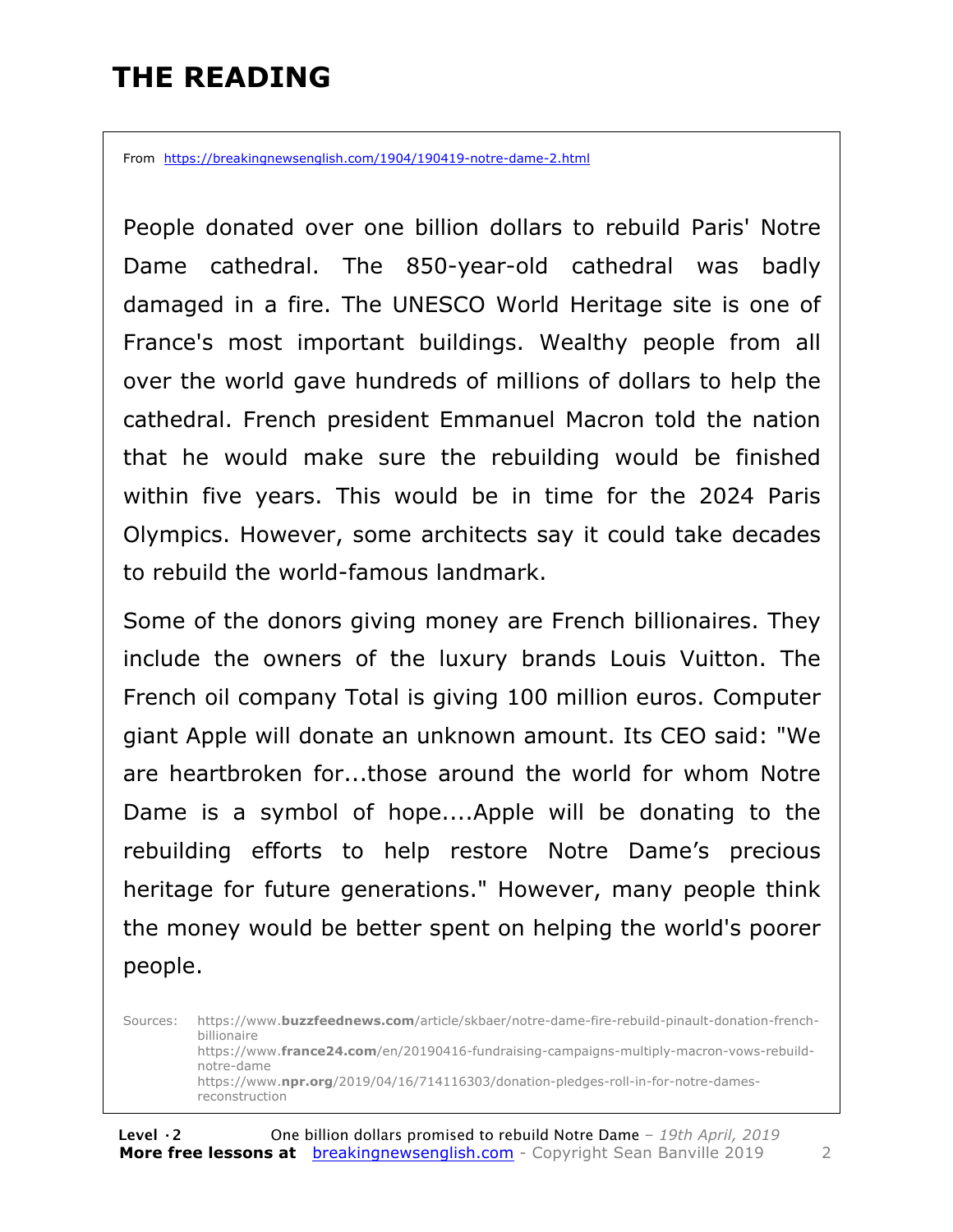# **THE READING**

From https://breakingnewsenglish.com/1904/190419-notre-dame-2.html

People donated over one billion dollars to rebuild Paris' Notre Dame cathedral. The 850-year-old cathedral was badly damaged in a fire. The UNESCO World Heritage site is one of France's most important buildings. Wealthy people from all over the world gave hundreds of millions of dollars to help the cathedral. French president Emmanuel Macron told the nation that he would make sure the rebuilding would be finished within five years. This would be in time for the 2024 Paris Olympics. However, some architects say it could take decades to rebuild the world-famous landmark.

Some of the donors giving money are French billionaires. They include the owners of the luxury brands Louis Vuitton. The French oil company Total is giving 100 million euros. Computer giant Apple will donate an unknown amount. Its CEO said: "We are heartbroken for...those around the world for whom Notre Dame is a symbol of hope....Apple will be donating to the rebuilding efforts to help restore Notre Dame's precious heritage for future generations." However, many people think the money would be better spent on helping the world's poorer people.

Sources: https://www.**buzzfeednews.com**/article/skbaer/notre-dame-fire-rebuild-pinault-donation-frenchbillionaire https://www.**france24.com**/en/20190416-fundraising-campaigns-multiply-macron-vows-rebuildnotre-dame https://www.**npr.org**/2019/04/16/714116303/donation-pledges-roll-in-for-notre-damesreconstruction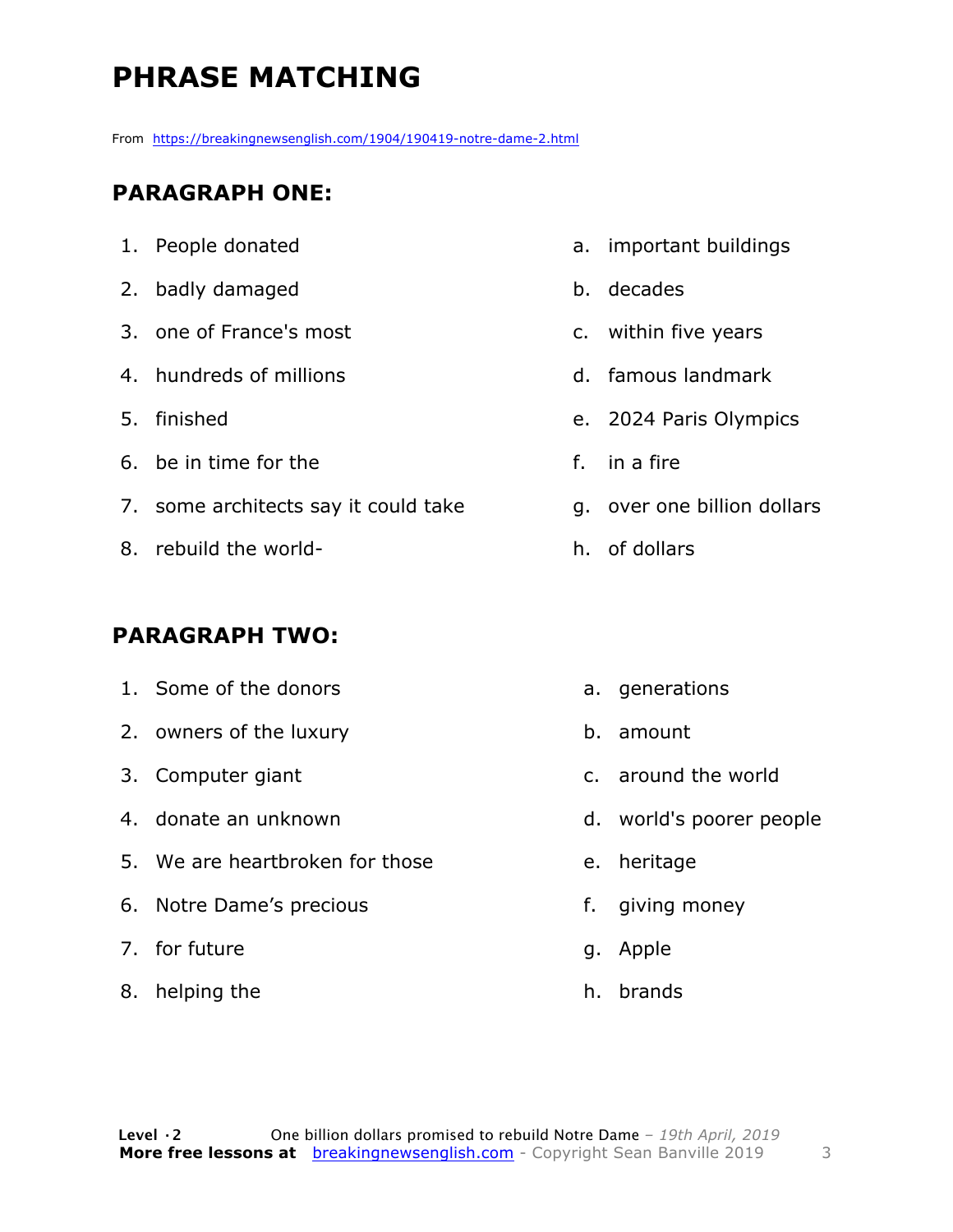# **PHRASE MATCHING**

From https://breakingnewsenglish.com/1904/190419-notre-dame-2.html

#### **PARAGRAPH ONE:**

- 1. People donated
- 2. badly damaged
- 3. one of France's most
- 4. hundreds of millions
- 5. finished
- 6. be in time for the
- 7. some architects say it could take
- 8. rebuild the world-

#### **PARAGRAPH TWO:**

- 1. Some of the donors
- 2. owners of the luxury
- 3. Computer giant
- 4. donate an unknown
- 5. We are heartbroken for those
- 6. Notre Dame's precious
- 7. for future
- 8. helping the
- a. important buildings
- b. decades
- c. within five years
- d. famous landmark
- e. 2024 Paris Olympics
- f. in a fire
- g. over one billion dollars
- h. of dollars
	- a. generations
	- b. amount
	- c. around the world
	- d. world's poorer people
	- e. heritage
	- f. giving money
	- g. Apple
	- h. brands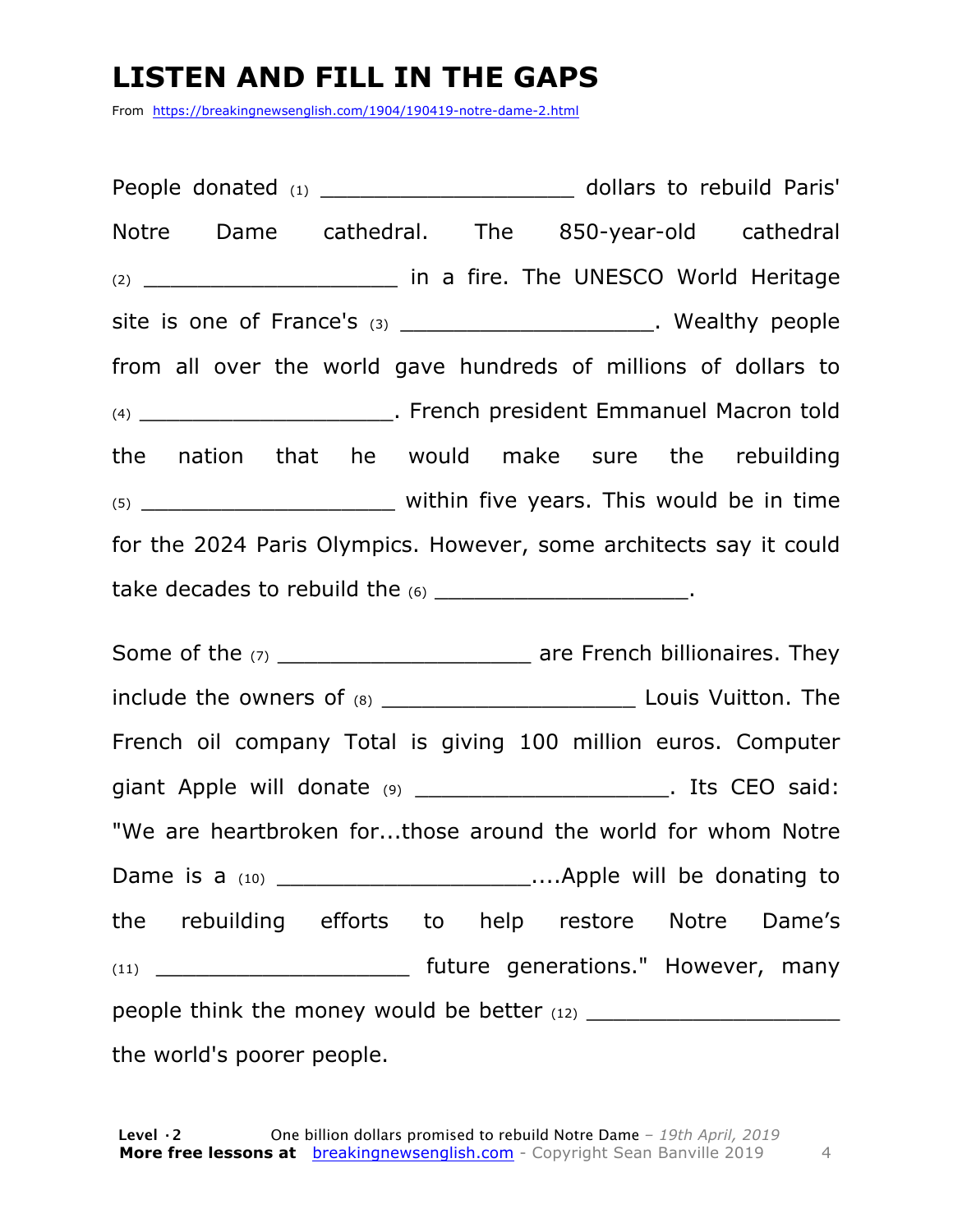# **LISTEN AND FILL IN THE GAPS**

From https://breakingnewsenglish.com/1904/190419-notre-dame-2.html

People donated (1) **Depending Contract and America** dollars to rebuild Paris' Notre Dame cathedral. The 850-year-old cathedral  $(2)$  \_\_\_\_\_\_\_\_\_\_\_\_\_\_\_\_\_\_\_\_\_\_\_\_\_\_ in a fire. The UNESCO World Heritage site is one of France's  $(3)$  \_\_\_\_\_\_\_\_\_\_\_\_\_\_\_\_\_\_\_\_\_\_. Wealthy people from all over the world gave hundreds of millions of dollars to (4) \_\_\_\_\_\_\_\_\_\_\_\_\_\_\_\_\_\_\_. French president Emmanuel Macron told the nation that he would make sure the rebuilding  $(5)$   $\qquad \qquad$  within five years. This would be in time for the 2024 Paris Olympics. However, some architects say it could take decades to rebuild the (6) \_\_\_\_\_\_\_\_\_\_\_\_\_\_\_\_\_\_\_\_\_\_\_\_\_.

Some of the (7) \_\_\_\_\_\_\_\_\_\_\_\_\_\_\_\_\_\_\_ are French billionaires. They include the owners of (8) \_\_\_\_\_\_\_\_\_\_\_\_\_\_\_\_\_\_\_\_\_\_\_\_\_\_\_\_\_\_\_\_\_ Louis Vuitton. The French oil company Total is giving 100 million euros. Computer giant Apple will donate (9) \_\_\_\_\_\_\_\_\_\_\_\_\_\_\_\_\_\_\_\_\_\_\_. Its CEO said: "We are heartbroken for...those around the world for whom Notre Dame is a (10) **Dame is a (10) Example will be donating to** the rebuilding efforts to help restore Notre Dame's (11) \_\_\_\_\_\_\_\_\_\_\_\_\_\_\_\_\_\_\_ future generations." However, many people think the money would be better  $(12)$ the world's poorer people.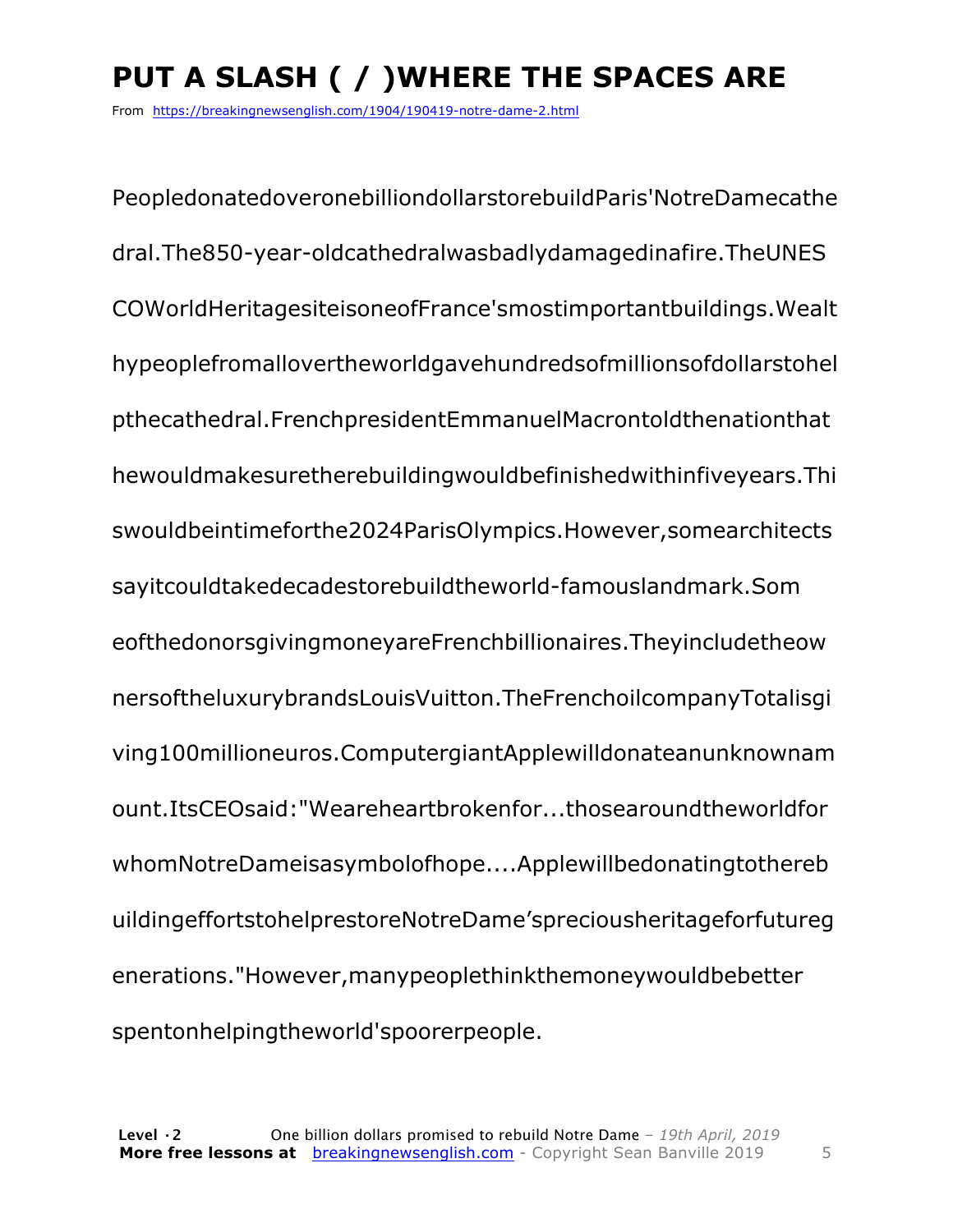# **PUT A SLASH ( / )WHERE THE SPACES ARE**

From https://breakingnewsenglish.com/1904/190419-notre-dame-2.html

PeopledonatedoveronebilliondollarstorebuildParis'NotreDamecathe dral.The850-year-oldcathedralwasbadlydamagedinafire.TheUNES COWorldHeritagesiteisoneofFrance'smostimportantbuildings.Wealt hypeoplefromallovertheworldgavehundredsofmillionsofdollarstohel pthecathedral.FrenchpresidentEmmanuelMacrontoldthenationthat hewouldmakesuretherebuildingwouldbefinishedwithinfiveyears.Thi swouldbeintimeforthe2024ParisOlympics.However,somearchitects sayitcouldtakedecadestorebuildtheworld-famouslandmark.Som eofthedonorsgivingmoneyareFrenchbillionaires.Theyincludetheow nersoftheluxurybrandsLouisVuitton.TheFrenchoilcompanyTotalisgi ving100millioneuros.ComputergiantApplewilldonateanunknownam ount.ItsCEOsaid:"Weareheartbrokenfor...thosearoundtheworldfor whomNotreDameisasymbolofhope....Applewillbedonatingtothereb uildingeffortstohelprestoreNotreDame'spreciousheritageforfutureg enerations."However,manypeoplethinkthemoneywouldbebetter spentonhelpingtheworld'spoorerpeople.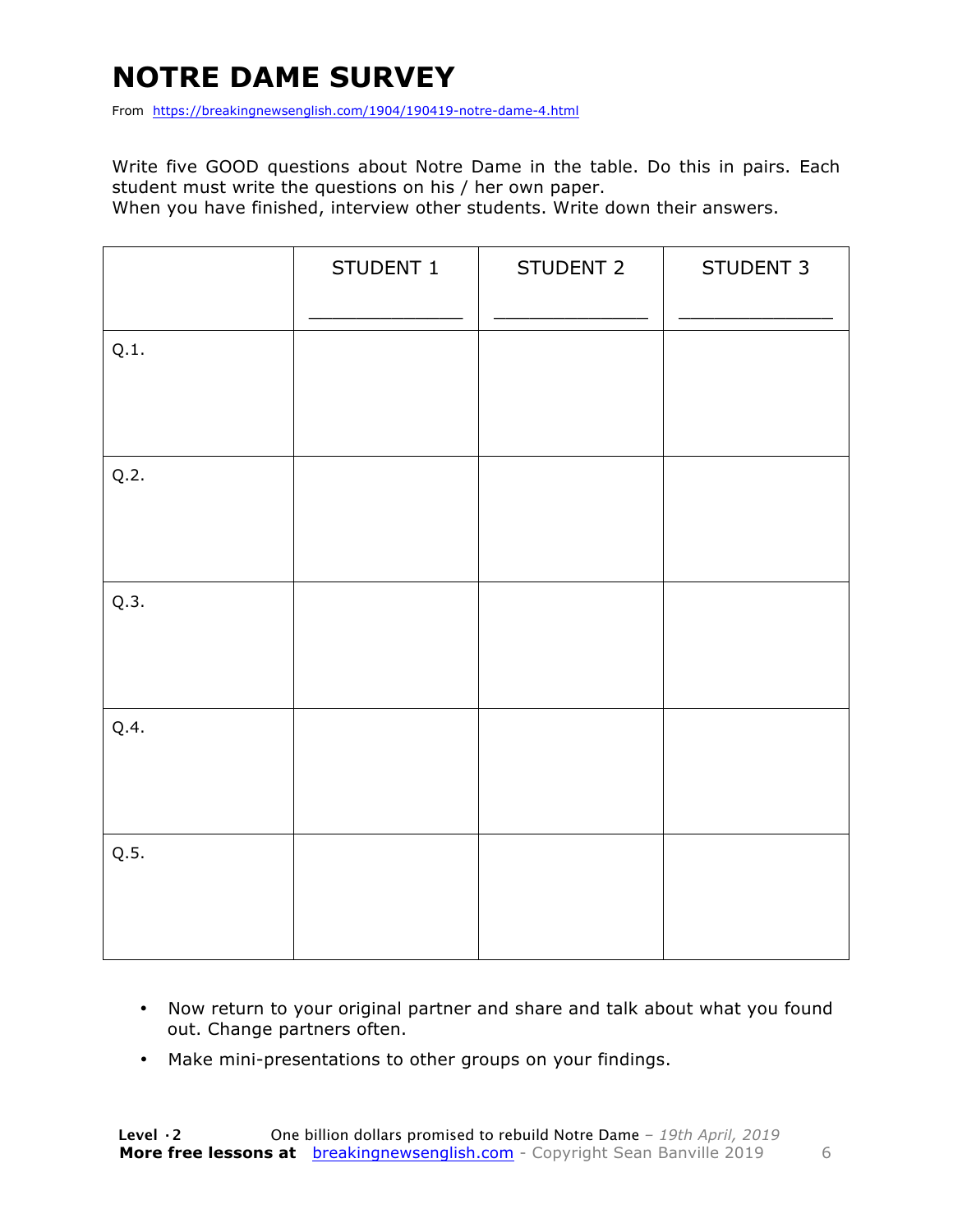# **NOTRE DAME SURVEY**

From https://breakingnewsenglish.com/1904/190419-notre-dame-4.html

Write five GOOD questions about Notre Dame in the table. Do this in pairs. Each student must write the questions on his / her own paper.

When you have finished, interview other students. Write down their answers.

|      | STUDENT 1 | STUDENT 2 | STUDENT 3 |
|------|-----------|-----------|-----------|
| Q.1. |           |           |           |
| Q.2. |           |           |           |
| Q.3. |           |           |           |
| Q.4. |           |           |           |
| Q.5. |           |           |           |

- Now return to your original partner and share and talk about what you found out. Change partners often.
- Make mini-presentations to other groups on your findings.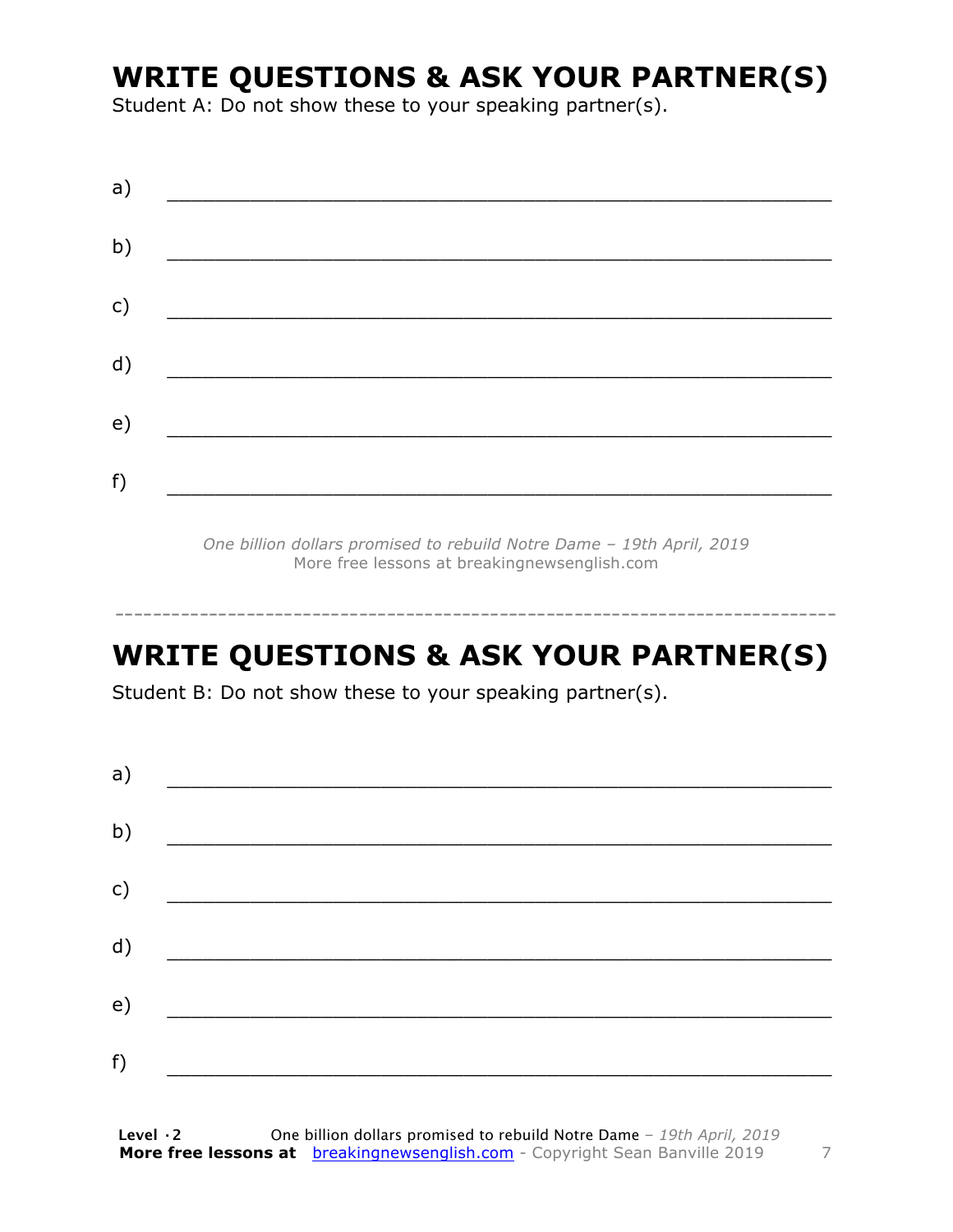### **WRITE QUESTIONS & ASK YOUR PARTNER(S)**

Student A: Do not show these to your speaking partner(s).

| a) |  |  |
|----|--|--|
| b) |  |  |
| c) |  |  |
| d) |  |  |
| e) |  |  |
| f) |  |  |
|    |  |  |

*One billion dollars promised to rebuild Notre Dame – 19th April, 2019* More free lessons at breakingnewsenglish.com

# **WRITE QUESTIONS & ASK YOUR PARTNER(S)**

-----------------------------------------------------------------------------

Student B: Do not show these to your speaking partner(s).

| a) |  |  |
|----|--|--|
| b) |  |  |
| c) |  |  |
| d) |  |  |
| e) |  |  |
| f) |  |  |
|    |  |  |